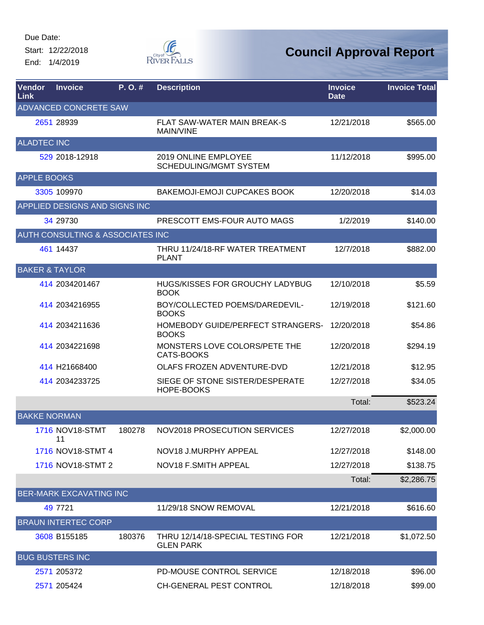Start: 12/22/2018 End: 1/4/2019



| Vendor<br>Link            | <b>Invoice</b>                   | P. O. # | <b>Description</b>                                    | <b>Invoice</b><br><b>Date</b> | <b>Invoice Total</b> |
|---------------------------|----------------------------------|---------|-------------------------------------------------------|-------------------------------|----------------------|
|                           | <b>ADVANCED CONCRETE SAW</b>     |         |                                                       |                               |                      |
|                           | 2651 28939                       |         | <b>FLAT SAW-WATER MAIN BREAK-S</b><br>MAIN/VINE       | 12/21/2018                    | \$565.00             |
| <b>ALADTEC INC</b>        |                                  |         |                                                       |                               |                      |
|                           | 529 2018-12918                   |         | 2019 ONLINE EMPLOYEE<br><b>SCHEDULING/MGMT SYSTEM</b> | 11/12/2018                    | \$995.00             |
| <b>APPLE BOOKS</b>        |                                  |         |                                                       |                               |                      |
|                           | 3305 109970                      |         | BAKEMOJI-EMOJI CUPCAKES BOOK                          | 12/20/2018                    | \$14.03              |
|                           | APPLIED DESIGNS AND SIGNS INC    |         |                                                       |                               |                      |
|                           | 34 29730                         |         | PRESCOTT EMS-FOUR AUTO MAGS                           | 1/2/2019                      | \$140.00             |
|                           | AUTH CONSULTING & ASSOCIATES INC |         |                                                       |                               |                      |
|                           | 461 14437                        |         | THRU 11/24/18-RF WATER TREATMENT<br><b>PLANT</b>      | 12/7/2018                     | \$882.00             |
| <b>BAKER &amp; TAYLOR</b> |                                  |         |                                                       |                               |                      |
|                           | 414 2034201467                   |         | <b>HUGS/KISSES FOR GROUCHY LADYBUG</b><br><b>BOOK</b> | 12/10/2018                    | \$5.59               |
|                           | 414 2034216955                   |         | BOY/COLLECTED POEMS/DAREDEVIL-<br><b>BOOKS</b>        | 12/19/2018                    | \$121.60             |
|                           | 414 2034211636                   |         | HOMEBODY GUIDE/PERFECT STRANGERS-<br><b>BOOKS</b>     | 12/20/2018                    | \$54.86              |
|                           | 414 2034221698                   |         | MONSTERS LOVE COLORS/PETE THE<br>CATS-BOOKS           | 12/20/2018                    | \$294.19             |
|                           | 414 H21668400                    |         | OLAFS FROZEN ADVENTURE-DVD                            | 12/21/2018                    | \$12.95              |
|                           | 414 2034233725                   |         | SIEGE OF STONE SISTER/DESPERATE<br>HOPE-BOOKS         | 12/27/2018                    | \$34.05              |
|                           |                                  |         |                                                       | Total:                        | \$523.24             |
| <b>BAKKE NORMAN</b>       |                                  |         |                                                       |                               |                      |
|                           | 1716 NOV18-STMT<br>11            | 180278  | NOV2018 PROSECUTION SERVICES                          | 12/27/2018                    | \$2,000.00           |
|                           | 1716 NOV18-STMT 4                |         | NOV18 J.MURPHY APPEAL                                 | 12/27/2018                    | \$148.00             |
|                           | 1716 NOV18-STMT 2                |         | NOV18 F.SMITH APPEAL                                  | 12/27/2018                    | \$138.75             |
|                           |                                  |         |                                                       | Total:                        | \$2,286.75           |
|                           | <b>BER-MARK EXCAVATING INC</b>   |         |                                                       |                               |                      |
|                           | 49 7721                          |         | 11/29/18 SNOW REMOVAL                                 | 12/21/2018                    | \$616.60             |
|                           | <b>BRAUN INTERTEC CORP</b>       |         |                                                       |                               |                      |
|                           | 3608 B155185                     | 180376  | THRU 12/14/18-SPECIAL TESTING FOR<br><b>GLEN PARK</b> | 12/21/2018                    | \$1,072.50           |
|                           | <b>BUG BUSTERS INC</b>           |         |                                                       |                               |                      |
|                           | 2571 205372                      |         | PD-MOUSE CONTROL SERVICE                              | 12/18/2018                    | \$96.00              |
|                           | 2571 205424                      |         | CH-GENERAL PEST CONTROL                               | 12/18/2018                    | \$99.00              |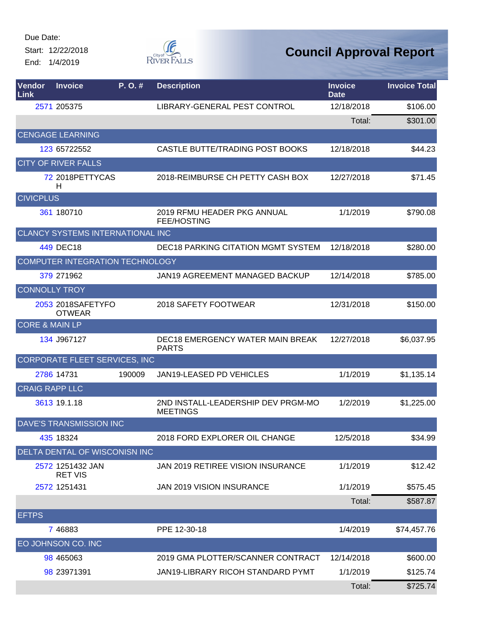Start: 12/22/2018 End: 1/4/2019



| Vendor<br>Link            | <b>Invoice</b>                     | $P. O.$ # | <b>Description</b>                                    | <b>Invoice</b><br><b>Date</b> | <b>Invoice Total</b> |
|---------------------------|------------------------------------|-----------|-------------------------------------------------------|-------------------------------|----------------------|
|                           | 2571 205375                        |           | LIBRARY-GENERAL PEST CONTROL                          | 12/18/2018                    | \$106.00             |
|                           |                                    |           |                                                       | Total:                        | \$301.00             |
|                           | <b>CENGAGE LEARNING</b>            |           |                                                       |                               |                      |
|                           | 123 65722552                       |           | CASTLE BUTTE/TRADING POST BOOKS                       | 12/18/2018                    | \$44.23              |
|                           | <b>CITY OF RIVER FALLS</b>         |           |                                                       |                               |                      |
|                           | 72 2018 PETTY CAS<br>Н             |           | 2018-REIMBURSE CH PETTY CASH BOX                      | 12/27/2018                    | \$71.45              |
| <b>CIVICPLUS</b>          |                                    |           |                                                       |                               |                      |
|                           | 361 180710                         |           | 2019 RFMU HEADER PKG ANNUAL<br><b>FEE/HOSTING</b>     | 1/1/2019                      | \$790.08             |
|                           | CLANCY SYSTEMS INTERNATIONAL INC   |           |                                                       |                               |                      |
|                           | 449 DEC18                          |           | <b>DEC18 PARKING CITATION MGMT SYSTEM</b>             | 12/18/2018                    | \$280.00             |
|                           | COMPUTER INTEGRATION TECHNOLOGY    |           |                                                       |                               |                      |
|                           | 379 271962                         |           | <b>JAN19 AGREEMENT MANAGED BACKUP</b>                 | 12/14/2018                    | \$785.00             |
| <b>CONNOLLY TROY</b>      |                                    |           |                                                       |                               |                      |
|                           | 2053 2018SAFETYFO<br><b>OTWEAR</b> |           | 2018 SAFETY FOOTWEAR                                  | 12/31/2018                    | \$150.00             |
| <b>CORE &amp; MAIN LP</b> |                                    |           |                                                       |                               |                      |
|                           | 134 J967127                        |           | DEC18 EMERGENCY WATER MAIN BREAK<br><b>PARTS</b>      | 12/27/2018                    | \$6,037.95           |
|                           | CORPORATE FLEET SERVICES, INC      |           |                                                       |                               |                      |
|                           | 2786 14731                         | 190009    | JAN19-LEASED PD VEHICLES                              | 1/1/2019                      | \$1,135.14           |
| <b>CRAIG RAPP LLC</b>     |                                    |           |                                                       |                               |                      |
|                           | 3613 19.1.18                       |           | 2ND INSTALL-LEADERSHIP DEV PRGM-MO<br><b>MEETINGS</b> | 1/2/2019                      | \$1,225.00           |
|                           | DAVE'S TRANSMISSION INC            |           |                                                       |                               |                      |
|                           | 435 18324                          |           | 2018 FORD EXPLORER OIL CHANGE                         | 12/5/2018                     | \$34.99              |
|                           | DELTA DENTAL OF WISCONISN INC      |           |                                                       |                               |                      |
|                           | 2572 1251432 JAN<br><b>RET VIS</b> |           | JAN 2019 RETIREE VISION INSURANCE                     | 1/1/2019                      | \$12.42              |
|                           | 2572 1251431                       |           | JAN 2019 VISION INSURANCE                             | 1/1/2019                      | \$575.45             |
|                           |                                    |           |                                                       | Total:                        | \$587.87             |
| <b>EFTPS</b>              |                                    |           |                                                       |                               |                      |
|                           | 7 4 6 8 8 3                        |           | PPE 12-30-18                                          | 1/4/2019                      | \$74,457.76          |
|                           | EO JOHNSON CO. INC                 |           |                                                       |                               |                      |
|                           | 98 465063                          |           | 2019 GMA PLOTTER/SCANNER CONTRACT                     | 12/14/2018                    | \$600.00             |
|                           | 98 23971391                        |           | JAN19-LIBRARY RICOH STANDARD PYMT                     | 1/1/2019                      | \$125.74             |
|                           |                                    |           |                                                       | Total:                        | \$725.74             |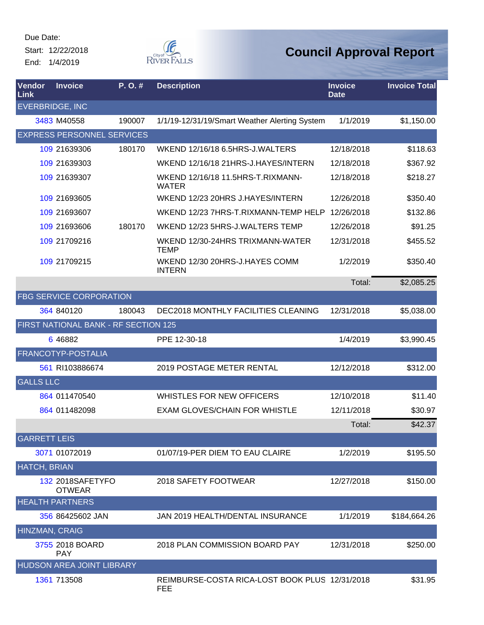Start: 12/22/2018 End: 1/4/2019



| <b>Vendor</b><br>Link  | <b>Invoice</b>                       | P.O.#  | <b>Description</b>                                    | <b>Invoice</b><br><b>Date</b> | <b>Invoice Total</b> |
|------------------------|--------------------------------------|--------|-------------------------------------------------------|-------------------------------|----------------------|
| <b>EVERBRIDGE, INC</b> |                                      |        |                                                       |                               |                      |
|                        | 3483 M40558                          | 190007 | 1/1/19-12/31/19/Smart Weather Alerting System         | 1/1/2019                      | \$1,150.00           |
|                        | <b>EXPRESS PERSONNEL SERVICES</b>    |        |                                                       |                               |                      |
|                        | 109 21639306                         | 180170 | WKEND 12/16/18 6.5HRS-J.WALTERS                       | 12/18/2018                    | \$118.63             |
|                        | 109 21639303                         |        | WKEND 12/16/18 21HRS-J.HAYES/INTERN                   | 12/18/2018                    | \$367.92             |
|                        | 109 21639307                         |        | WKEND 12/16/18 11.5HRS-T.RIXMANN-<br><b>WATER</b>     | 12/18/2018                    | \$218.27             |
|                        | 109 21693605                         |        | WKEND 12/23 20HRS J.HAYES/INTERN                      | 12/26/2018                    | \$350.40             |
|                        | 109 21693607                         |        | WKEND 12/23 7HRS-T.RIXMANN-TEMP HELP                  | 12/26/2018                    | \$132.86             |
|                        | 109 21693606                         | 180170 | WKEND 12/23 5HRS-J.WALTERS TEMP                       | 12/26/2018                    | \$91.25              |
|                        | 109 21709216                         |        | WKEND 12/30-24HRS TRIXMANN-WATER<br><b>TEMP</b>       | 12/31/2018                    | \$455.52             |
|                        | 109 21709215                         |        | WKEND 12/30 20HRS-J.HAYES COMM<br><b>INTERN</b>       | 1/2/2019                      | \$350.40             |
|                        |                                      |        |                                                       | Total:                        | \$2,085.25           |
|                        | <b>FBG SERVICE CORPORATION</b>       |        |                                                       |                               |                      |
|                        | 364 840120                           | 180043 | DEC2018 MONTHLY FACILITIES CLEANING                   | 12/31/2018                    | \$5,038.00           |
|                        | FIRST NATIONAL BANK - RF SECTION 125 |        |                                                       |                               |                      |
|                        | 6 4 6 8 8 2                          |        | PPE 12-30-18                                          | 1/4/2019                      | \$3,990.45           |
|                        | FRANCOTYP-POSTALIA                   |        |                                                       |                               |                      |
|                        | 561 RI103886674                      |        | 2019 POSTAGE METER RENTAL                             | 12/12/2018                    | \$312.00             |
| <b>GALLS LLC</b>       |                                      |        |                                                       |                               |                      |
|                        | 864 011470540                        |        | WHISTLES FOR NEW OFFICERS                             | 12/10/2018                    | \$11.40              |
|                        | 864 011482098                        |        | <b>EXAM GLOVES/CHAIN FOR WHISTLE</b>                  | 12/11/2018                    | \$30.97              |
|                        |                                      |        |                                                       | Total:                        | \$42.37              |
| <b>GARRETT LEIS</b>    |                                      |        |                                                       |                               |                      |
|                        | 3071 01072019                        |        | 01/07/19-PER DIEM TO EAU CLAIRE                       | 1/2/2019                      | \$195.50             |
| <b>HATCH, BRIAN</b>    |                                      |        |                                                       |                               |                      |
|                        | 132 2018SAFETYFO<br><b>OTWEAR</b>    |        | 2018 SAFETY FOOTWEAR                                  | 12/27/2018                    | \$150.00             |
|                        | <b>HEALTH PARTNERS</b>               |        |                                                       |                               |                      |
|                        | 356 86425602 JAN                     |        | JAN 2019 HEALTH/DENTAL INSURANCE                      | 1/1/2019                      | \$184,664.26         |
| HINZMAN, CRAIG         |                                      |        |                                                       |                               |                      |
|                        | 3755 2018 BOARD<br><b>PAY</b>        |        | 2018 PLAN COMMISSION BOARD PAY                        | 12/31/2018                    | \$250.00             |
|                        | HUDSON AREA JOINT LIBRARY            |        |                                                       |                               |                      |
|                        | 1361 713508                          |        | REIMBURSE-COSTA RICA-LOST BOOK PLUS 12/31/2018<br>FEE |                               | \$31.95              |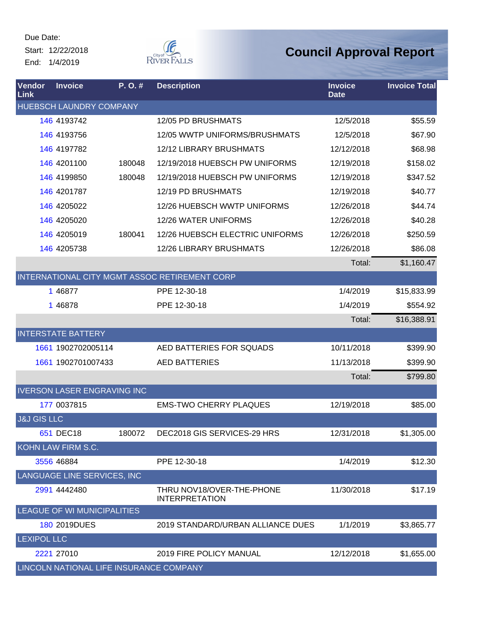Start: 12/22/2018 End: 1/4/2019



| Vendor<br><b>Link</b>  | <b>Invoice</b>                          | P.O.#  | <b>Description</b>                                 | <b>Invoice</b><br><b>Date</b> | <b>Invoice Total</b> |
|------------------------|-----------------------------------------|--------|----------------------------------------------------|-------------------------------|----------------------|
|                        | <b>HUEBSCH LAUNDRY COMPANY</b>          |        |                                                    |                               |                      |
|                        | 146 4193742                             |        | 12/05 PD BRUSHMATS                                 | 12/5/2018                     | \$55.59              |
|                        | 146 4193756                             |        | 12/05 WWTP UNIFORMS/BRUSHMATS                      | 12/5/2018                     | \$67.90              |
|                        | 146 4197782                             |        | 12/12 LIBRARY BRUSHMATS                            | 12/12/2018                    | \$68.98              |
|                        | 146 4201100                             | 180048 | 12/19/2018 HUEBSCH PW UNIFORMS                     | 12/19/2018                    | \$158.02             |
|                        | 146 4199850                             | 180048 | 12/19/2018 HUEBSCH PW UNIFORMS                     | 12/19/2018                    | \$347.52             |
|                        | 146 4201787                             |        | 12/19 PD BRUSHMATS                                 | 12/19/2018                    | \$40.77              |
|                        | 146 4205022                             |        | 12/26 HUEBSCH WWTP UNIFORMS                        | 12/26/2018                    | \$44.74              |
|                        | 146 4205020                             |        | 12/26 WATER UNIFORMS                               | 12/26/2018                    | \$40.28              |
|                        | 146 4205019                             | 180041 | 12/26 HUEBSCH ELECTRIC UNIFORMS                    | 12/26/2018                    | \$250.59             |
|                        | 146 4205738                             |        | <b>12/26 LIBRARY BRUSHMATS</b>                     | 12/26/2018                    | \$86.08              |
|                        |                                         |        |                                                    | Total:                        | \$1,160.47           |
|                        |                                         |        | INTERNATIONAL CITY MGMT ASSOC RETIREMENT CORP      |                               |                      |
|                        | 1 46877                                 |        | PPE 12-30-18                                       | 1/4/2019                      | \$15,833.99          |
|                        | 1 46878                                 |        | PPE 12-30-18                                       | 1/4/2019                      | \$554.92             |
|                        |                                         |        |                                                    | Total:                        | \$16,388.91          |
|                        | <b>INTERSTATE BATTERY</b>               |        |                                                    |                               |                      |
|                        | 1661 1902702005114                      |        | AED BATTERIES FOR SQUADS                           | 10/11/2018                    | \$399.90             |
|                        | 1661 1902701007433                      |        | <b>AED BATTERIES</b>                               | 11/13/2018                    | \$399.90             |
|                        |                                         |        |                                                    | Total:                        | \$799.80             |
|                        | <b>IVERSON LASER ENGRAVING INC</b>      |        |                                                    |                               |                      |
|                        | 177 0037815                             |        | <b>EMS-TWO CHERRY PLAQUES</b>                      | 12/19/2018                    | \$85.00              |
| <b>J&amp;J GIS LLC</b> |                                         |        |                                                    |                               |                      |
|                        | 651 DEC18                               | 180072 | DEC2018 GIS SERVICES-29 HRS                        | 12/31/2018                    | \$1,305.00           |
|                        | KOHN LAW FIRM S.C.                      |        |                                                    |                               |                      |
|                        | 3556 46884                              |        | PPE 12-30-18                                       | 1/4/2019                      | \$12.30              |
|                        | LANGUAGE LINE SERVICES, INC             |        |                                                    |                               |                      |
|                        | 2991 4442480                            |        | THRU NOV18/OVER-THE-PHONE<br><b>INTERPRETATION</b> | 11/30/2018                    | \$17.19              |
|                        | LEAGUE OF WI MUNICIPALITIES             |        |                                                    |                               |                      |
|                        | 180 2019DUES                            |        | 2019 STANDARD/URBAN ALLIANCE DUES                  | 1/1/2019                      | \$3,865.77           |
| <b>LEXIPOL LLC</b>     |                                         |        |                                                    |                               |                      |
|                        | 2221 27010                              |        | <b>2019 FIRE POLICY MANUAL</b>                     | 12/12/2018                    | \$1,655.00           |
|                        | LINCOLN NATIONAL LIFE INSURANCE COMPANY |        |                                                    |                               |                      |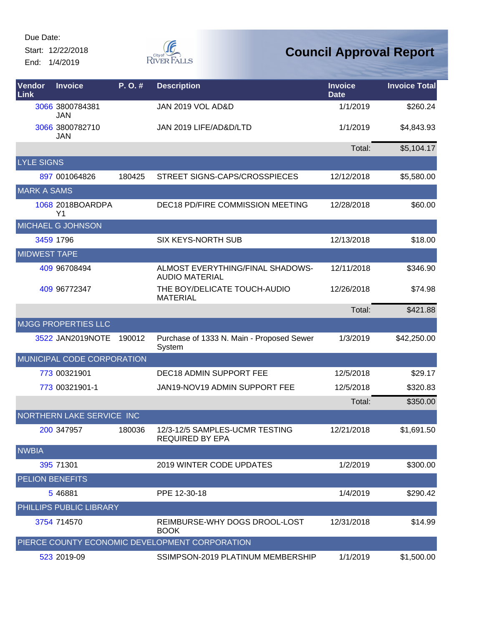Start: 12/22/2018 End: 1/4/2019



| <b>Vendor</b><br>Link  | <b>Invoice</b>                     | P.O.#  | <b>Description</b>                                        | <b>Invoice</b><br><b>Date</b> | <b>Invoice Total</b> |
|------------------------|------------------------------------|--------|-----------------------------------------------------------|-------------------------------|----------------------|
|                        | 3066 3800784381<br><b>JAN</b>      |        | JAN 2019 VOL AD&D                                         | 1/1/2019                      | \$260.24             |
|                        | 3066 3800782710<br><b>JAN</b>      |        | JAN 2019 LIFE/AD&D/LTD                                    | 1/1/2019                      | \$4,843.93           |
|                        |                                    |        |                                                           | Total:                        | \$5,104.17           |
| <b>LYLE SIGNS</b>      |                                    |        |                                                           |                               |                      |
|                        | 897 001064826                      | 180425 | STREET SIGNS-CAPS/CROSSPIECES                             | 12/12/2018                    | \$5,580.00           |
| <b>MARK A SAMS</b>     |                                    |        |                                                           |                               |                      |
|                        | 1068 2018BOARDPA<br>Y <sub>1</sub> |        | DEC18 PD/FIRE COMMISSION MEETING                          | 12/28/2018                    | \$60.00              |
|                        | MICHAEL G JOHNSON                  |        |                                                           |                               |                      |
|                        | 3459 1796                          |        | <b>SIX KEYS-NORTH SUB</b>                                 | 12/13/2018                    | \$18.00              |
| <b>MIDWEST TAPE</b>    |                                    |        |                                                           |                               |                      |
|                        | 409 96708494                       |        | ALMOST EVERYTHING/FINAL SHADOWS-<br><b>AUDIO MATERIAL</b> | 12/11/2018                    | \$346.90             |
|                        | 409 96772347                       |        | THE BOY/DELICATE TOUCH-AUDIO<br><b>MATERIAL</b>           | 12/26/2018                    | \$74.98              |
|                        |                                    |        |                                                           | Total:                        | \$421.88             |
|                        | <b>MJGG PROPERTIES LLC</b>         |        |                                                           |                               |                      |
|                        | 3522 JAN2019NOTE                   | 190012 | Purchase of 1333 N. Main - Proposed Sewer<br>System       | 1/3/2019                      | \$42,250.00          |
|                        | MUNICIPAL CODE CORPORATION         |        |                                                           |                               |                      |
|                        | 773 00321901                       |        | DEC18 ADMIN SUPPORT FEE                                   | 12/5/2018                     | \$29.17              |
|                        | 773 00321901-1                     |        | JAN19-NOV19 ADMIN SUPPORT FEE                             | 12/5/2018                     | \$320.83             |
|                        |                                    |        |                                                           | Total:                        | \$350.00             |
|                        | NORTHERN LAKE SERVICE INC          |        |                                                           |                               |                      |
|                        | 200 347957                         | 180036 | 12/3-12/5 SAMPLES-UCMR TESTING<br><b>REQUIRED BY EPA</b>  | 12/21/2018                    | \$1,691.50           |
| <b>NWBIA</b>           |                                    |        |                                                           |                               |                      |
|                        | 395 71301                          |        | 2019 WINTER CODE UPDATES                                  | 1/2/2019                      | \$300.00             |
| <b>PELION BENEFITS</b> |                                    |        |                                                           |                               |                      |
|                        | 5 46881                            |        | PPE 12-30-18                                              | 1/4/2019                      | \$290.42             |
|                        | PHILLIPS PUBLIC LIBRARY            |        |                                                           |                               |                      |
|                        | 3754 714570                        |        | REIMBURSE-WHY DOGS DROOL-LOST<br><b>BOOK</b>              | 12/31/2018                    | \$14.99              |
|                        |                                    |        | PIERCE COUNTY ECONOMIC DEVELOPMENT CORPORATION            |                               |                      |
|                        | 523 2019-09                        |        | SSIMPSON-2019 PLATINUM MEMBERSHIP                         | 1/1/2019                      | \$1,500.00           |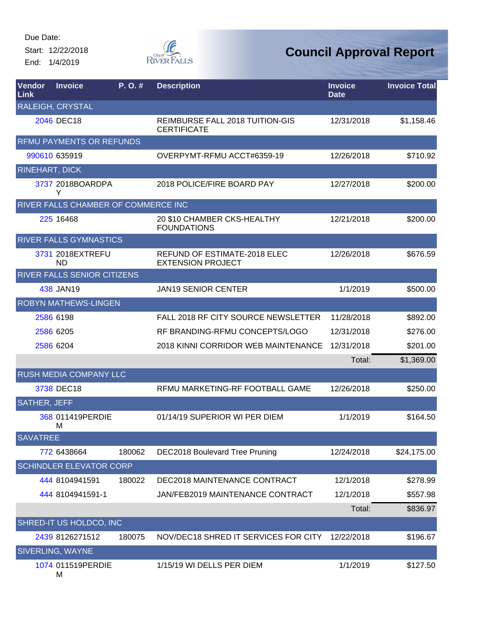Start: 12/22/2018 End: 1/4/2019



| Vendor<br>Link        | <b>Invoice</b>                      | P. O. # | <b>Description</b>                                              | <b>Invoice</b><br><b>Date</b> | <b>Invoice Total</b> |
|-----------------------|-------------------------------------|---------|-----------------------------------------------------------------|-------------------------------|----------------------|
|                       | <b>RALEIGH, CRYSTAL</b>             |         |                                                                 |                               |                      |
|                       | 2046 DEC18                          |         | REIMBURSE FALL 2018 TUITION-GIS<br><b>CERTIFICATE</b>           | 12/31/2018                    | \$1,158.46           |
|                       | <b>RFMU PAYMENTS OR REFUNDS</b>     |         |                                                                 |                               |                      |
|                       | 990610 635919                       |         | OVERPYMT-RFMU ACCT#6359-19                                      | 12/26/2018                    | \$710.92             |
| <b>RINEHART, DICK</b> |                                     |         |                                                                 |                               |                      |
|                       | 3737 2018BOARDPA<br>Y               |         | 2018 POLICE/FIRE BOARD PAY                                      | 12/27/2018                    | \$200.00             |
|                       | RIVER FALLS CHAMBER OF COMMERCE INC |         |                                                                 |                               |                      |
|                       | 225 16468                           |         | 20 \$10 CHAMBER CKS-HEALTHY<br><b>FOUNDATIONS</b>               | 12/21/2018                    | \$200.00             |
|                       | <b>RIVER FALLS GYMNASTICS</b>       |         |                                                                 |                               |                      |
|                       | 3731 2018EXTREFU<br>ND.             |         | <b>REFUND OF ESTIMATE-2018 ELEC</b><br><b>EXTENSION PROJECT</b> | 12/26/2018                    | \$676.59             |
|                       | RIVER FALLS SENIOR CITIZENS         |         |                                                                 |                               |                      |
|                       | 438 JAN19                           |         | <b>JAN19 SENIOR CENTER</b>                                      | 1/1/2019                      | \$500.00             |
|                       | <b>ROBYN MATHEWS-LINGEN</b>         |         |                                                                 |                               |                      |
|                       | 2586 6198                           |         | FALL 2018 RF CITY SOURCE NEWSLETTER                             | 11/28/2018                    | \$892.00             |
|                       | 2586 6205                           |         | RF BRANDING-RFMU CONCEPTS/LOGO                                  | 12/31/2018                    | \$276.00             |
|                       | 2586 6204                           |         | 2018 KINNI CORRIDOR WEB MAINTENANCE                             | 12/31/2018                    | \$201.00             |
|                       |                                     |         |                                                                 | Total:                        | \$1,369.00           |
|                       | RUSH MEDIA COMPANY LLC              |         |                                                                 |                               |                      |
|                       | 3738 DEC18                          |         | RFMU MARKETING-RF FOOTBALL GAME                                 | 12/26/2018                    | \$250.00             |
| <b>SATHER, JEFF</b>   |                                     |         |                                                                 |                               |                      |
|                       | 368 011419PERDIE<br>М               |         | 01/14/19 SUPERIOR WI PER DIEM                                   | 1/1/2019                      | \$164.50             |
| <b>SAVATREE</b>       |                                     |         |                                                                 |                               |                      |
|                       | 772 6438664                         | 180062  | <b>DEC2018 Boulevard Tree Pruning</b>                           | 12/24/2018                    | \$24,175.00          |
|                       | <b>SCHINDLER ELEVATOR CORP</b>      |         |                                                                 |                               |                      |
|                       | 444 8104941591                      | 180022  | DEC2018 MAINTENANCE CONTRACT                                    | 12/1/2018                     | \$278.99             |
|                       | 444 8104941591-1                    |         | JAN/FEB2019 MAINTENANCE CONTRACT                                | 12/1/2018                     | \$557.98             |
|                       |                                     |         |                                                                 | Total:                        | \$836.97             |
|                       | SHRED-IT US HOLDCO, INC             |         |                                                                 |                               |                      |
|                       | 2439 8126271512                     | 180075  | NOV/DEC18 SHRED IT SERVICES FOR CITY                            | 12/22/2018                    | \$196.67             |
|                       | <b>SIVERLING, WAYNE</b>             |         |                                                                 |                               |                      |
|                       | 1074 011519PERDIE                   |         | 1/15/19 WI DELLS PER DIEM                                       | 1/1/2019                      | \$127.50             |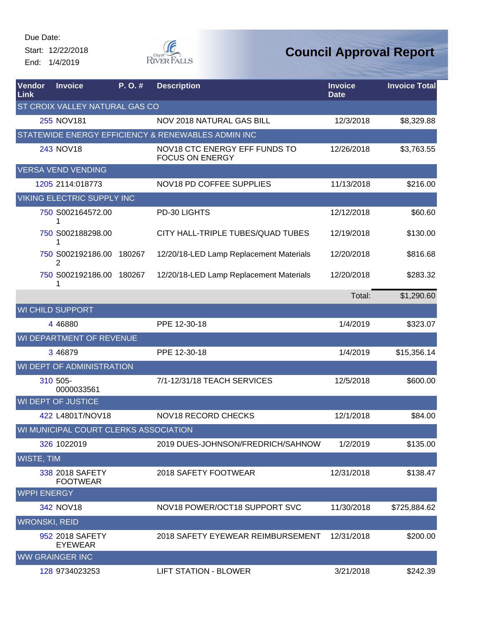Start: 12/22/2018 End: 1/4/2019



| Vendor<br>Link       | <b>Invoice</b>                        | P.O.# | <b>Description</b>                                      | <b>Invoice</b><br><b>Date</b> | <b>Invoice Total</b> |
|----------------------|---------------------------------------|-------|---------------------------------------------------------|-------------------------------|----------------------|
|                      | ST CROIX VALLEY NATURAL GAS CO        |       |                                                         |                               |                      |
|                      | 255 NOV181                            |       | NOV 2018 NATURAL GAS BILL                               | 12/3/2018                     | \$8,329.88           |
|                      |                                       |       | STATEWIDE ENERGY EFFICIENCY & RENEWABLES ADMIN INC      |                               |                      |
|                      | <b>243 NOV18</b>                      |       | NOV18 CTC ENERGY EFF FUNDS TO<br><b>FOCUS ON ENERGY</b> | 12/26/2018                    | \$3,763.55           |
|                      | <b>VERSA VEND VENDING</b>             |       |                                                         |                               |                      |
|                      | 1205 2114:018773                      |       | NOV18 PD COFFEE SUPPLIES                                | 11/13/2018                    | \$216.00             |
|                      | <b>VIKING ELECTRIC SUPPLY INC</b>     |       |                                                         |                               |                      |
|                      | 750 S002164572.00<br>1                |       | PD-30 LIGHTS                                            | 12/12/2018                    | \$60.60              |
|                      | 750 S002188298.00<br>1                |       | CITY HALL-TRIPLE TUBES/QUAD TUBES                       | 12/19/2018                    | \$130.00             |
|                      | 750 S002192186.00 180267<br>2         |       | 12/20/18-LED Lamp Replacement Materials                 | 12/20/2018                    | \$816.68             |
|                      | 750 S002192186.00 180267<br>1         |       | 12/20/18-LED Lamp Replacement Materials                 | 12/20/2018                    | \$283.32             |
|                      |                                       |       |                                                         | Total:                        | \$1,290.60           |
|                      | <b>WI CHILD SUPPORT</b>               |       |                                                         |                               |                      |
|                      | 4 4 6 8 8 0                           |       | PPE 12-30-18                                            | 1/4/2019                      | \$323.07             |
|                      | WI DEPARTMENT OF REVENUE              |       |                                                         |                               |                      |
|                      | 3 46879                               |       | PPE 12-30-18                                            | 1/4/2019                      | \$15,356.14          |
|                      | WI DEPT OF ADMINISTRATION             |       |                                                         |                               |                      |
|                      | 310 505-<br>0000033561                |       | 7/1-12/31/18 TEACH SERVICES                             | 12/5/2018                     | \$600.00             |
|                      | <b>WI DEPT OF JUSTICE</b>             |       |                                                         |                               |                      |
|                      | 422 L4801T/NOV18                      |       | NOV18 RECORD CHECKS                                     | 12/1/2018                     | \$84.00              |
|                      | WI MUNICIPAL COURT CLERKS ASSOCIATION |       |                                                         |                               |                      |
|                      | 326 1022019                           |       | 2019 DUES-JOHNSON/FREDRICH/SAHNOW                       | 1/2/2019                      | \$135.00             |
| <b>WISTE, TIM</b>    |                                       |       |                                                         |                               |                      |
|                      | 338 2018 SAFETY<br><b>FOOTWEAR</b>    |       | 2018 SAFETY FOOTWEAR                                    | 12/31/2018                    | \$138.47             |
| <b>WPPI ENERGY</b>   |                                       |       |                                                         |                               |                      |
|                      | 342 NOV18                             |       | NOV18 POWER/OCT18 SUPPORT SVC                           | 11/30/2018                    | \$725,884.62         |
| <b>WRONSKI, REID</b> |                                       |       |                                                         |                               |                      |
|                      | 952 2018 SAFETY<br><b>EYEWEAR</b>     |       | 2018 SAFETY EYEWEAR REIMBURSEMENT                       | 12/31/2018                    | \$200.00             |
|                      | <b>WW GRAINGER INC</b>                |       |                                                         |                               |                      |
|                      | 128 9734023253                        |       | <b>LIFT STATION - BLOWER</b>                            | 3/21/2018                     | \$242.39             |